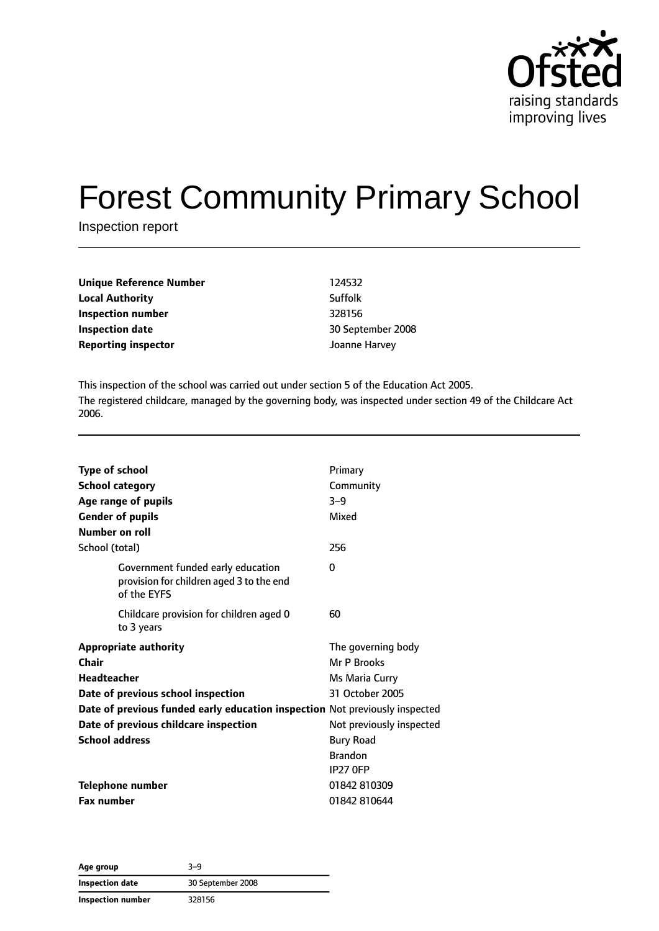

# Forest Community Primary School

Inspection report

| Unique Reference Number<br><b>Local Authority</b> | 124532  |
|---------------------------------------------------|---------|
|                                                   | Suffolk |
| Inspection number                                 | 328156  |
| <b>Inspection date</b>                            | 30 Sept |
| <b>Reporting inspector</b>                        | Joanne  |

**Inspection number** 328156 **Inspection date** 30 September 2008 **Joanne Harvey** 

This inspection of the school was carried out under section 5 of the Education Act 2005. The registered childcare, managed by the governing body, was inspected under section 49 of the Childcare Act 2006.

| <b>Type of school</b><br><b>School category</b><br>Age range of pupils<br><b>Gender of pupils</b><br><b>Number on roll</b> | Primary<br>Community<br>$3-9$<br>Mixed |
|----------------------------------------------------------------------------------------------------------------------------|----------------------------------------|
| School (total)                                                                                                             | 256                                    |
| Government funded early education<br>provision for children aged 3 to the end<br>of the EYFS                               | 0                                      |
| Childcare provision for children aged 0<br>to 3 years                                                                      | 60                                     |
| <b>Appropriate authority</b>                                                                                               | The governing body                     |
| Chair                                                                                                                      | Mr P Brooks                            |
| <b>Headteacher</b>                                                                                                         | Ms Maria Curry                         |
| 31 October 2005<br>Date of previous school inspection                                                                      |                                        |
| Date of previous funded early education inspection Not previously inspected                                                |                                        |
| Date of previous childcare inspection                                                                                      | Not previously inspected               |
| <b>School address</b>                                                                                                      | <b>Bury Road</b>                       |
|                                                                                                                            | <b>Brandon</b>                         |
|                                                                                                                            | <b>IP27 OFP</b>                        |
| <b>Telephone number</b>                                                                                                    | 01842 810309                           |
| <b>Fax number</b>                                                                                                          | 01842 810644                           |

**Age group** 3–9 **Inspection date** 30 September 2008 **Inspection number** 328156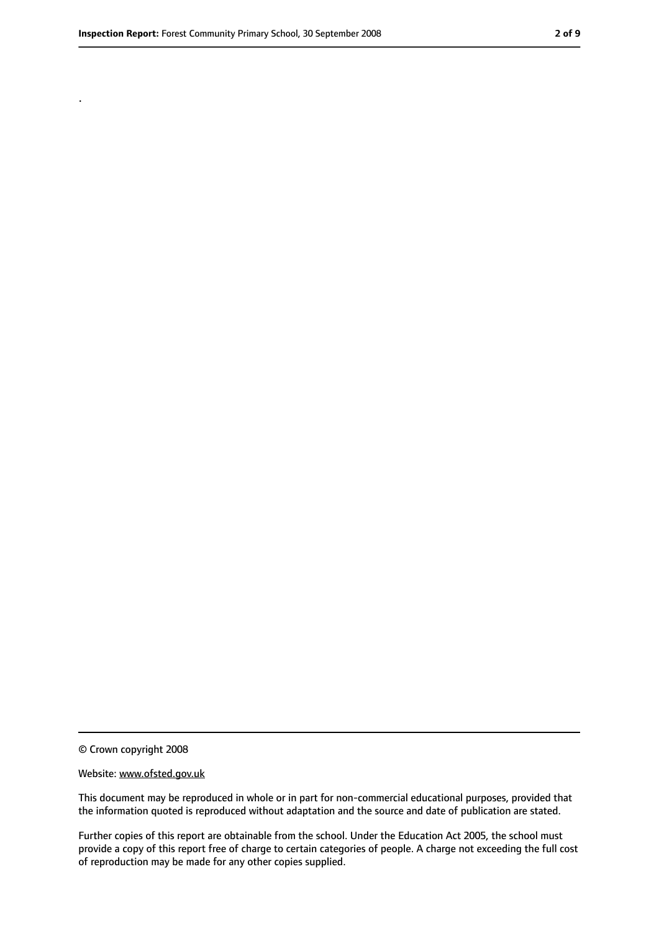.

© Crown copyright 2008

#### Website: www.ofsted.gov.uk

This document may be reproduced in whole or in part for non-commercial educational purposes, provided that the information quoted is reproduced without adaptation and the source and date of publication are stated.

Further copies of this report are obtainable from the school. Under the Education Act 2005, the school must provide a copy of this report free of charge to certain categories of people. A charge not exceeding the full cost of reproduction may be made for any other copies supplied.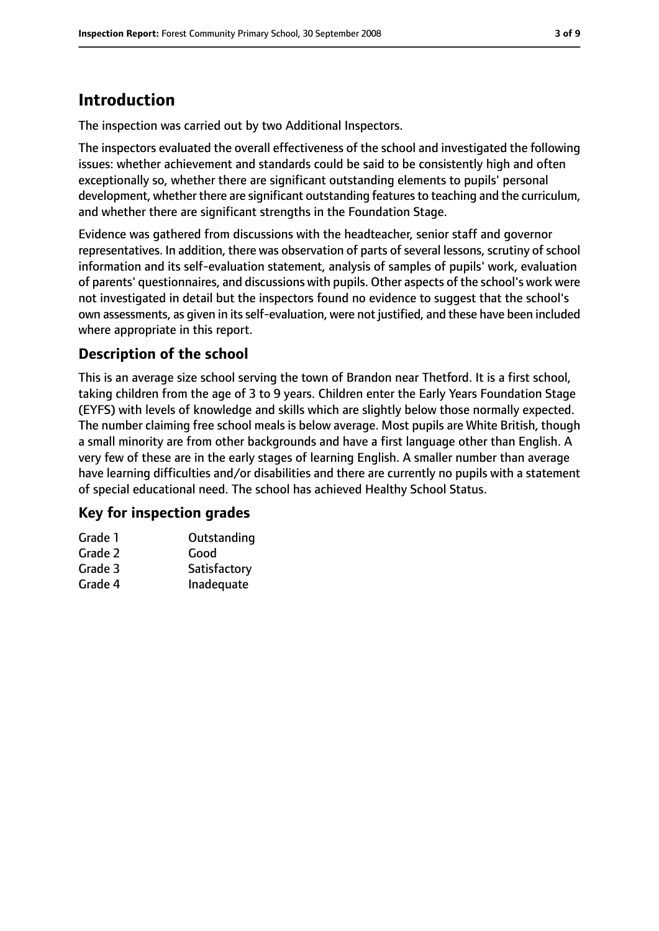# **Introduction**

The inspection was carried out by two Additional Inspectors.

The inspectors evaluated the overall effectiveness of the school and investigated the following issues: whether achievement and standards could be said to be consistently high and often exceptionally so, whether there are significant outstanding elements to pupils' personal development, whether there are significant outstanding features to teaching and the curriculum, and whether there are significant strengths in the Foundation Stage.

Evidence was gathered from discussions with the headteacher, senior staff and governor representatives. In addition, there was observation of parts of several lessons, scrutiny of school information and its self-evaluation statement, analysis of samples of pupils' work, evaluation of parents' questionnaires, and discussions with pupils. Other aspects of the school's work were not investigated in detail but the inspectors found no evidence to suggest that the school's own assessments, as given in its self-evaluation, were not justified, and these have been included where appropriate in this report.

### **Description of the school**

This is an average size school serving the town of Brandon near Thetford. It is a first school, taking children from the age of 3 to 9 years. Children enter the Early Years Foundation Stage (EYFS) with levels of knowledge and skills which are slightly below those normally expected. The number claiming free school meals is below average. Most pupils are White British, though a small minority are from other backgrounds and have a first language other than English. A very few of these are in the early stages of learning English. A smaller number than average have learning difficulties and/or disabilities and there are currently no pupils with a statement of special educational need. The school has achieved Healthy School Status.

### **Key for inspection grades**

| Grade 1 | Outstanding  |
|---------|--------------|
| Grade 2 | Good         |
| Grade 3 | Satisfactory |
| Grade 4 | Inadequate   |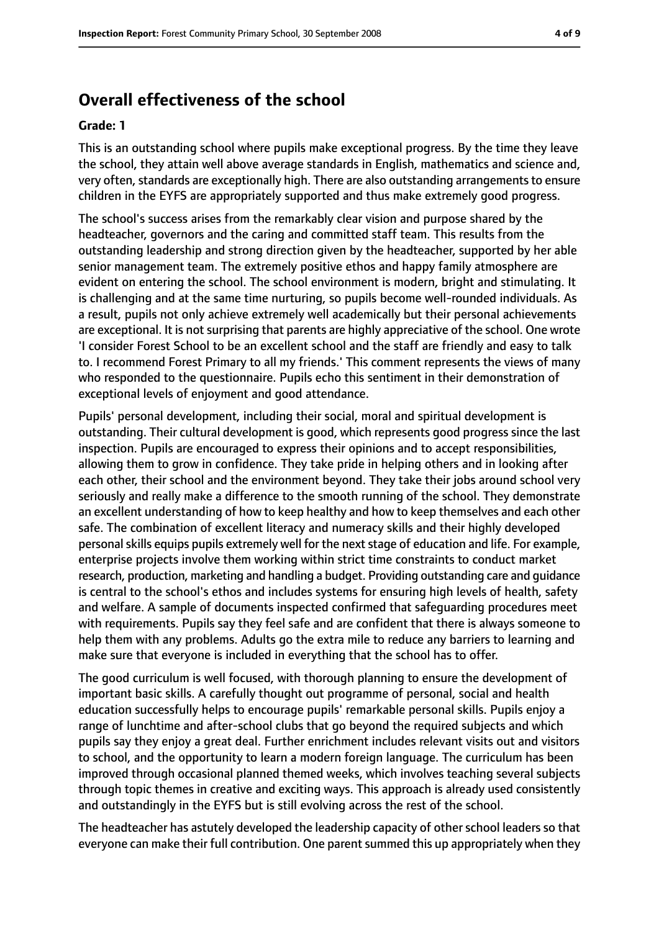## **Overall effectiveness of the school**

#### **Grade: 1**

This is an outstanding school where pupils make exceptional progress. By the time they leave the school, they attain well above average standards in English, mathematics and science and, very often, standards are exceptionally high. There are also outstanding arrangements to ensure children in the EYFS are appropriately supported and thus make extremely good progress.

The school's success arises from the remarkably clear vision and purpose shared by the headteacher, governors and the caring and committed staff team. This results from the outstanding leadership and strong direction given by the headteacher, supported by her able senior management team. The extremely positive ethos and happy family atmosphere are evident on entering the school. The school environment is modern, bright and stimulating. It is challenging and at the same time nurturing, so pupils become well-rounded individuals. As a result, pupils not only achieve extremely well academically but their personal achievements are exceptional. It is not surprising that parents are highly appreciative of the school. One wrote 'I consider Forest School to be an excellent school and the staff are friendly and easy to talk to. I recommend Forest Primary to all my friends.' This comment represents the views of many who responded to the questionnaire. Pupils echo this sentiment in their demonstration of exceptional levels of enjoyment and good attendance.

Pupils' personal development, including their social, moral and spiritual development is outstanding. Their cultural development is good, which represents good progress since the last inspection. Pupils are encouraged to express their opinions and to accept responsibilities, allowing them to grow in confidence. They take pride in helping others and in looking after each other, their school and the environment beyond. They take their jobs around school very seriously and really make a difference to the smooth running of the school. They demonstrate an excellent understanding of how to keep healthy and how to keep themselves and each other safe. The combination of excellent literacy and numeracy skills and their highly developed personal skills equips pupils extremely well for the next stage of education and life. For example, enterprise projects involve them working within strict time constraints to conduct market research, production, marketing and handling a budget. Providing outstanding care and guidance is central to the school's ethos and includes systems for ensuring high levels of health, safety and welfare. A sample of documents inspected confirmed that safeguarding procedures meet with requirements. Pupils say they feel safe and are confident that there is always someone to help them with any problems. Adults go the extra mile to reduce any barriers to learning and make sure that everyone is included in everything that the school has to offer.

The good curriculum is well focused, with thorough planning to ensure the development of important basic skills. A carefully thought out programme of personal, social and health education successfully helps to encourage pupils' remarkable personal skills. Pupils enjoy a range of lunchtime and after-school clubs that go beyond the required subjects and which pupils say they enjoy a great deal. Further enrichment includes relevant visits out and visitors to school, and the opportunity to learn a modern foreign language. The curriculum has been improved through occasional planned themed weeks, which involves teaching several subjects through topic themes in creative and exciting ways. This approach is already used consistently and outstandingly in the EYFS but is still evolving across the rest of the school.

The headteacher has astutely developed the leadership capacity of other school leaders so that everyone can make their full contribution. One parent summed this up appropriately when they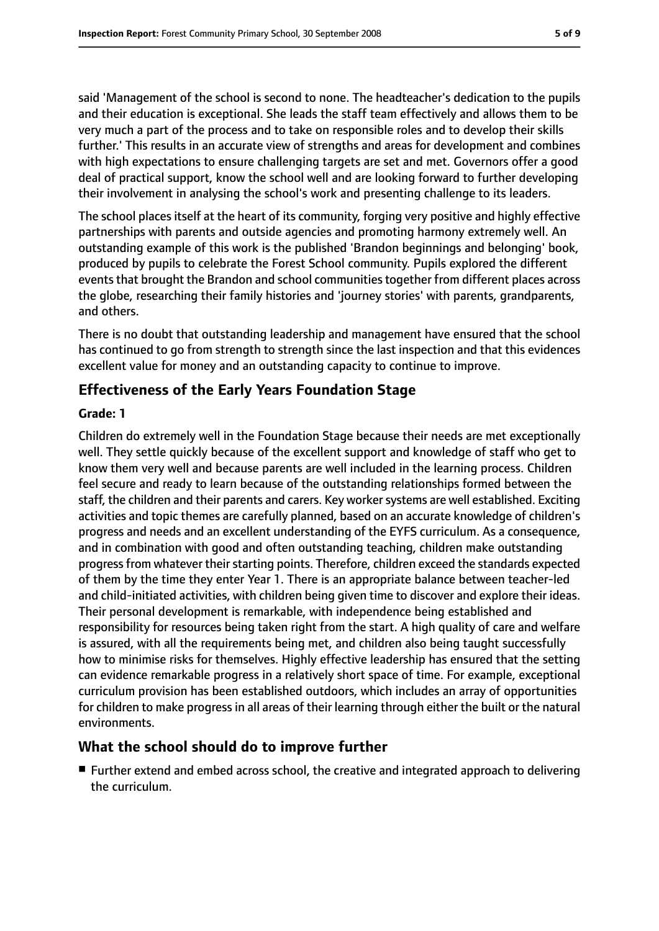said 'Management of the school is second to none. The headteacher's dedication to the pupils and their education is exceptional. She leads the staff team effectively and allows them to be very much a part of the process and to take on responsible roles and to develop their skills further.' This results in an accurate view of strengths and areas for development and combines with high expectations to ensure challenging targets are set and met. Governors offer a good deal of practical support, know the school well and are looking forward to further developing their involvement in analysing the school's work and presenting challenge to its leaders.

The school places itself at the heart of its community, forging very positive and highly effective partnerships with parents and outside agencies and promoting harmony extremely well. An outstanding example of this work is the published 'Brandon beginnings and belonging' book, produced by pupils to celebrate the Forest School community. Pupils explored the different events that brought the Brandon and school communities together from different places across the globe, researching their family histories and 'journey stories' with parents, grandparents, and others.

There is no doubt that outstanding leadership and management have ensured that the school has continued to go from strength to strength since the last inspection and that this evidences excellent value for money and an outstanding capacity to continue to improve.

### **Effectiveness of the Early Years Foundation Stage**

### **Grade: 1**

Children do extremely well in the Foundation Stage because their needs are met exceptionally well. They settle quickly because of the excellent support and knowledge of staff who get to know them very well and because parents are well included in the learning process. Children feel secure and ready to learn because of the outstanding relationships formed between the staff, the children and their parents and carers. Key worker systems are well established. Exciting activities and topic themes are carefully planned, based on an accurate knowledge of children's progress and needs and an excellent understanding of the EYFS curriculum. As a consequence, and in combination with good and often outstanding teaching, children make outstanding progress from whatever their starting points. Therefore, children exceed the standards expected of them by the time they enter Year 1. There is an appropriate balance between teacher-led and child-initiated activities, with children being given time to discover and explore their ideas. Their personal development is remarkable, with independence being established and responsibility for resources being taken right from the start. A high quality of care and welfare is assured, with all the requirements being met, and children also being taught successfully how to minimise risks for themselves. Highly effective leadership has ensured that the setting can evidence remarkable progress in a relatively short space of time. For example, exceptional curriculum provision has been established outdoors, which includes an array of opportunities for children to make progress in all areas of their learning through either the built or the natural environments.

### **What the school should do to improve further**

■ Further extend and embed across school, the creative and integrated approach to delivering the curriculum.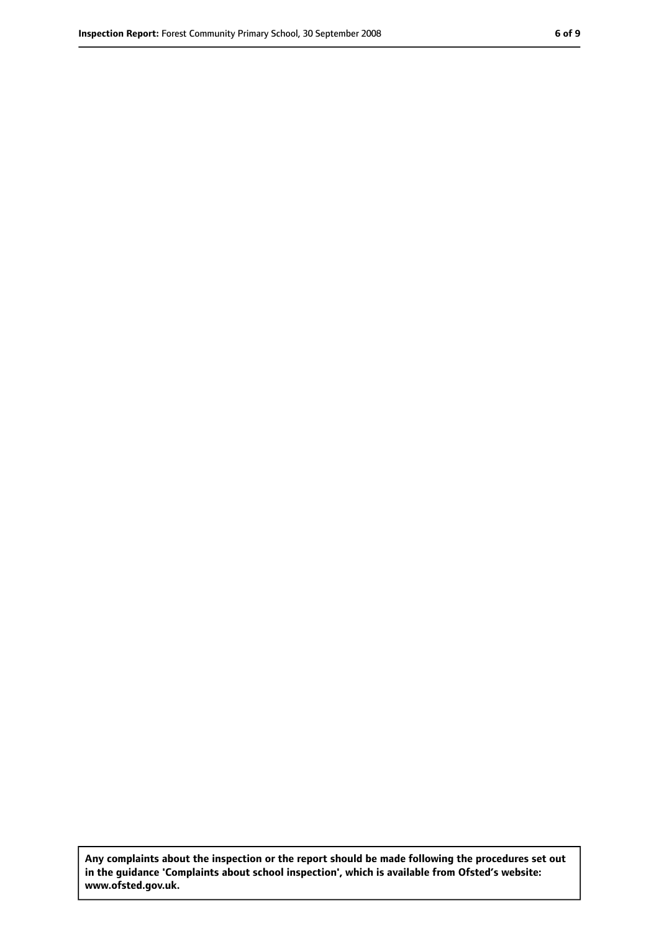**Any complaints about the inspection or the report should be made following the procedures set out in the guidance 'Complaints about school inspection', which is available from Ofsted's website: www.ofsted.gov.uk.**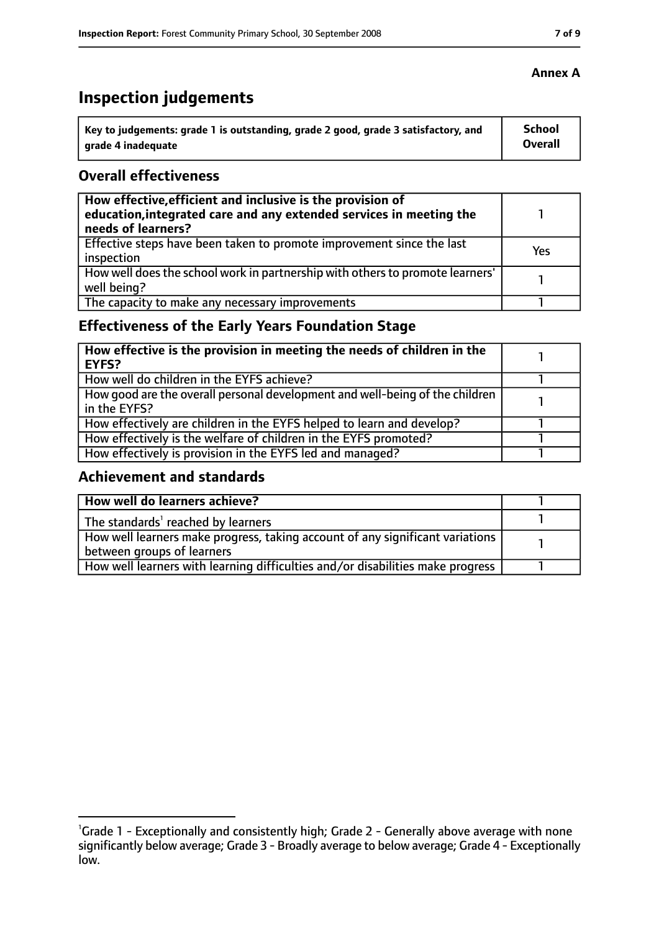# **Inspection judgements**

| Key to judgements: grade 1 is outstanding, grade 2 good, grade 3 satisfactory, and | School  |
|------------------------------------------------------------------------------------|---------|
| arade 4 inadequate                                                                 | Overall |

### **Overall effectiveness**

| How effective, efficient and inclusive is the provision of<br>education, integrated care and any extended services in meeting the<br>needs of learners? |     |
|---------------------------------------------------------------------------------------------------------------------------------------------------------|-----|
| Effective steps have been taken to promote improvement since the last<br>inspection                                                                     | Yes |
| How well does the school work in partnership with others to promote learners'<br>well being?                                                            |     |
| The capacity to make any necessary improvements                                                                                                         |     |

### **Effectiveness of the Early Years Foundation Stage**

| How effective is the provision in meeting the needs of children in the<br>EYFS?              |  |
|----------------------------------------------------------------------------------------------|--|
| How well do children in the EYFS achieve?                                                    |  |
| How good are the overall personal development and well-being of the children<br>in the EYFS? |  |
| How effectively are children in the EYFS helped to learn and develop?                        |  |
| How effectively is the welfare of children in the EYFS promoted?                             |  |
| How effectively is provision in the EYFS led and managed?                                    |  |

### **Achievement and standards**

| How well do learners achieve?                                                               |  |
|---------------------------------------------------------------------------------------------|--|
| $\vert$ The standards <sup>1</sup> reached by learners                                      |  |
| $\mid$ How well learners make progress, taking account of any significant variations $\mid$ |  |
| between groups of learners                                                                  |  |
| How well learners with learning difficulties and/or disabilities make progress              |  |

<sup>&</sup>lt;sup>1</sup>Grade 1 - Exceptionally and consistently high; Grade 2 - Generally above average with none significantly below average; Grade 3 - Broadly average to below average; Grade 4 - Exceptionally low.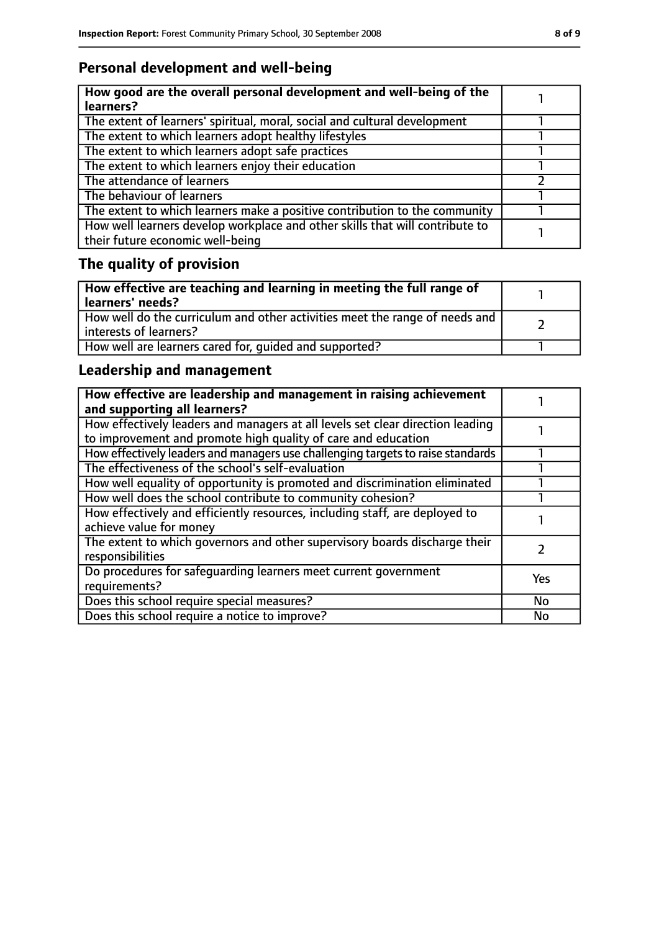## **Personal development and well-being**

| How good are the overall personal development and well-being of the<br>learners?                                 |  |
|------------------------------------------------------------------------------------------------------------------|--|
| The extent of learners' spiritual, moral, social and cultural development                                        |  |
| The extent to which learners adopt healthy lifestyles                                                            |  |
| The extent to which learners adopt safe practices                                                                |  |
| The extent to which learners enjoy their education                                                               |  |
| The attendance of learners                                                                                       |  |
| The behaviour of learners                                                                                        |  |
| The extent to which learners make a positive contribution to the community                                       |  |
| How well learners develop workplace and other skills that will contribute to<br>their future economic well-being |  |

# **The quality of provision**

| How effective are teaching and learning in meeting the full range of<br>learners' needs?              |  |
|-------------------------------------------------------------------------------------------------------|--|
| How well do the curriculum and other activities meet the range of needs and<br>interests of learners? |  |
| How well are learners cared for, quided and supported?                                                |  |

## **Leadership and management**

| How effective are leadership and management in raising achievement<br>and supporting all learners?                                              |     |
|-------------------------------------------------------------------------------------------------------------------------------------------------|-----|
| How effectively leaders and managers at all levels set clear direction leading<br>to improvement and promote high quality of care and education |     |
| How effectively leaders and managers use challenging targets to raise standards                                                                 |     |
| The effectiveness of the school's self-evaluation                                                                                               |     |
| How well equality of opportunity is promoted and discrimination eliminated                                                                      |     |
| How well does the school contribute to community cohesion?                                                                                      |     |
| How effectively and efficiently resources, including staff, are deployed to<br>achieve value for money                                          |     |
| The extent to which governors and other supervisory boards discharge their<br>responsibilities                                                  |     |
| Do procedures for safequarding learners meet current government<br>requirements?                                                                | Yes |
| Does this school require special measures?                                                                                                      | No  |
| Does this school require a notice to improve?                                                                                                   | No  |